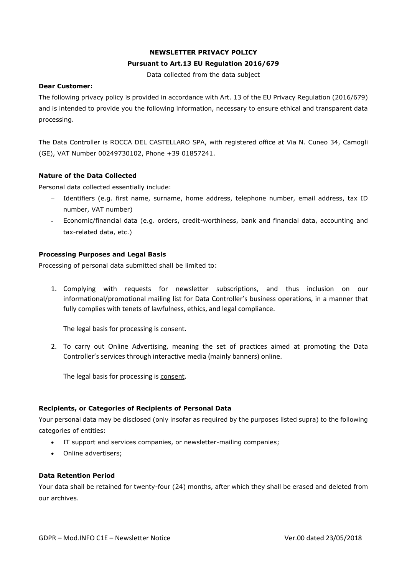# **NEWSLETTER PRIVACY POLICY**

## **Pursuant to Art.13 EU Regulation 2016/679**

Data collected from the data subject

#### **Dear Customer:**

The following privacy policy is provided in accordance with Art. 13 of the EU Privacy Regulation (2016/679) and is intended to provide you the following information, necessary to ensure ethical and transparent data processing.

The Data Controller is ROCCA DEL CASTELLARO SPA, with registered office at Via N. Cuneo 34, Camogli (GE), VAT Number 00249730102, Phone +39 01857241.

## **Nature of the Data Collected**

Personal data collected essentially include:

- − Identifiers (e.g. first name, surname, home address, telephone number, email address, tax ID number, VAT number)
- Economic/financial data (e.g. orders, credit-worthiness, bank and financial data, accounting and tax-related data, etc.)

## **Processing Purposes and Legal Basis**

Processing of personal data submitted shall be limited to:

1. Complying with requests for newsletter subscriptions, and thus inclusion on our informational/promotional mailing list for Data Controller's business operations, in a manner that fully complies with tenets of lawfulness, ethics, and legal compliance.

The legal basis for processing is consent.

2. To carry out Online Advertising, meaning the set of practices aimed at promoting the Data Controller's services through interactive media (mainly banners) online.

The legal basis for processing is consent.

## **Recipients, or Categories of Recipients of Personal Data**

Your personal data may be disclosed (only insofar as required by the purposes listed supra) to the following categories of entities:

- IT support and services companies, or newsletter-mailing companies;
- Online advertisers;

#### **Data Retention Period**

Your data shall be retained for twenty-four (24) months, after which they shall be erased and deleted from our archives.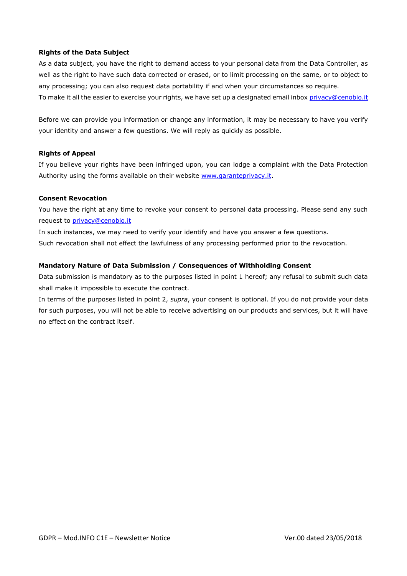#### **Rights of the Data Subject**

As a data subject, you have the right to demand access to your personal data from the Data Controller, as well as the right to have such data corrected or erased, or to limit processing on the same, or to object to any processing; you can also request data portability if and when your circumstances so require. To make it all the easier to exercise your rights, we have set up a designated email inbox [privacy@cenobio.it](mailto:privacy@cenobio.it)

Before we can provide you information or change any information, it may be necessary to have you verify your identity and answer a few questions. We will reply as quickly as possible.

#### **Rights of Appeal**

If you believe your rights have been infringed upon, you can lodge a complaint with the Data Protection Authority using the forms available on their website [www.garanteprivacy.it.](http://www.garanteprivacy.it/)

#### **Consent Revocation**

You have the right at any time to revoke your consent to personal data processing. Please send any such request to [privacy@cenobio.it](mailto:privacy@cenobio.it)

In such instances, we may need to verify your identify and have you answer a few questions. Such revocation shall not effect the lawfulness of any processing performed prior to the revocation.

#### **Mandatory Nature of Data Submission / Consequences of Withholding Consent**

Data submission is mandatory as to the purposes listed in point 1 hereof; any refusal to submit such data shall make it impossible to execute the contract.

In terms of the purposes listed in point 2, *supra*, your consent is optional. If you do not provide your data for such purposes, you will not be able to receive advertising on our products and services, but it will have no effect on the contract itself.